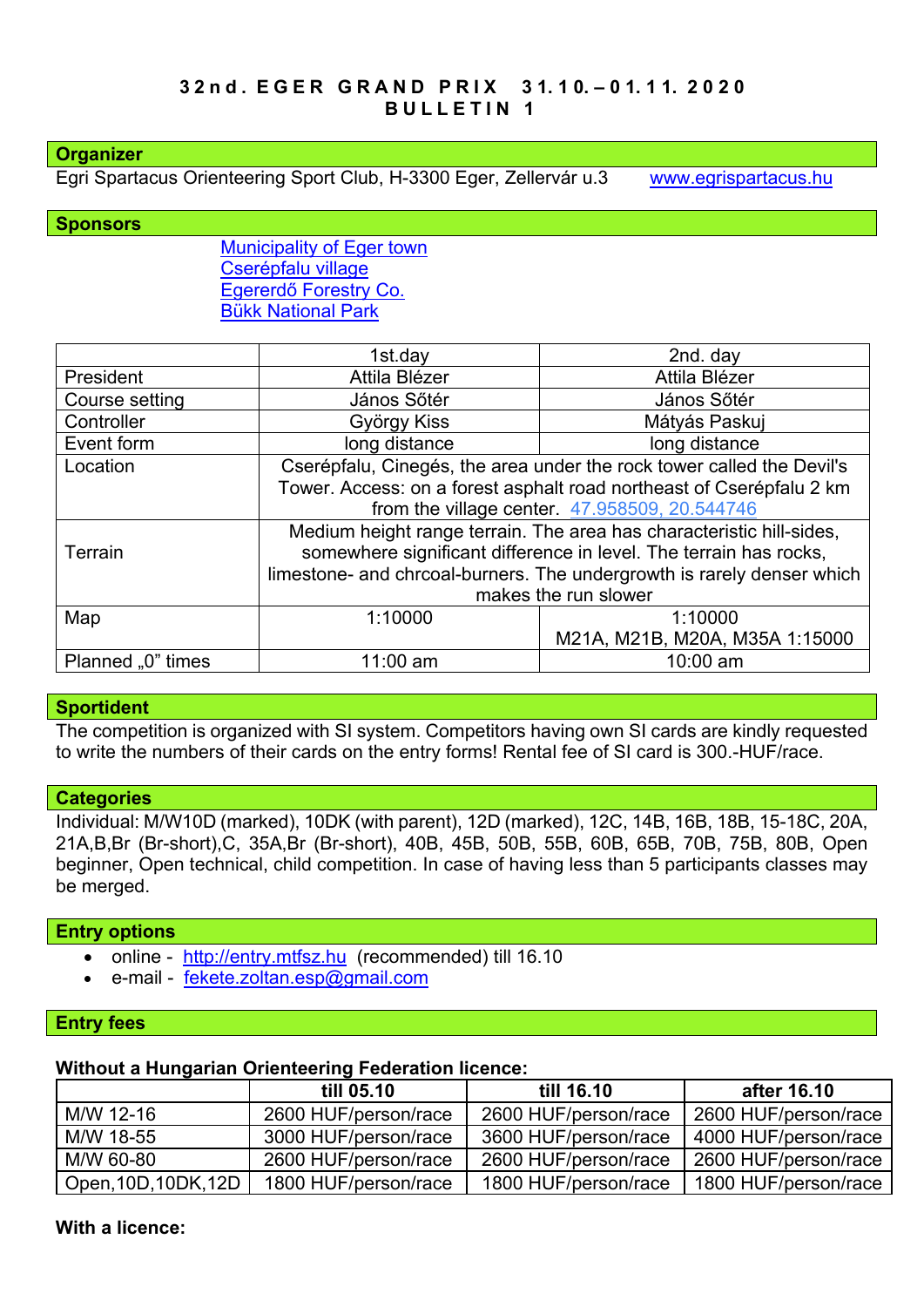#### **Organizer**

Egri Spartacus Orienteering Sport Club, H-3300 Eger, Zellervár u.3 [www.egrispartacus.hu](http://www.egrispartacus.hu/)

**Sponsors**

[Municipality of Eger town](http://varos.eger.hu/) [Cserépfalu village](http://cserepfalu.hu/) Egererdő [Forestry Co.](http://client4.springmedia.hu/) [Bükk N](https://www.bnpi.hu/)ational Park

|                   | 1st.day                                                                | 2nd. day                       |  |  |
|-------------------|------------------------------------------------------------------------|--------------------------------|--|--|
| President         | Attila Blézer                                                          | Attila Blézer                  |  |  |
| Course setting    | János Sőtér                                                            | János Sőtér                    |  |  |
| Controller        | György Kiss                                                            | Mátyás Paskuj                  |  |  |
| Event form        | long distance                                                          | long distance                  |  |  |
| Location          | Cserépfalu, Cinegés, the area under the rock tower called the Devil's  |                                |  |  |
|                   | Tower. Access: on a forest asphalt road northeast of Cserépfalu 2 km   |                                |  |  |
|                   | from the village center. 47.958509, 20.544746                          |                                |  |  |
|                   | Medium height range terrain. The area has characteristic hill-sides,   |                                |  |  |
| Terrain           | somewhere significant difference in level. The terrain has rocks,      |                                |  |  |
|                   | limestone- and chrcoal-burners. The undergrowth is rarely denser which |                                |  |  |
|                   | makes the run slower                                                   |                                |  |  |
| Map               | 1:10000                                                                | 1:10000                        |  |  |
|                   |                                                                        | M21A, M21B, M20A, M35A 1:15000 |  |  |
| Planned "0" times | $11:00$ am                                                             | 10:00 am                       |  |  |

#### **Sportident**

The competition is organized with SI system. Competitors having own SI cards are kindly requested to write the numbers of their cards on the entry forms! Rental fee of SI card is 300.-HUF/race.

#### **Categories**

Individual: M/W10D (marked), 10DK (with parent), 12D (marked), 12C, 14B, 16B, 18B, 15-18C, 20A, 21A,B,Br (Br-short),C, 35A,Br (Br-short), 40B, 45B, 50B, 55B, 60B, 65B, 70B, 75B, 80B, Open beginner, Open technical, child competition. In case of having less than 5 participants classes may be merged.

#### **Entry options**

- online [http://entry.mtfsz.hu](http://entry.mtfsz.hu/) (recommended) till 16.10
- e-mail [fekete.zoltan.esp@gmail.com](mailto:egrispartacus@atw.hu)

#### **Entry fees**

#### **Without a Hungarian Orienteering Federation licence:**

|                      | till 05.10           | till 16.10           | after 16.10          |
|----------------------|----------------------|----------------------|----------------------|
| M/W 12-16            | 2600 HUF/person/race | 2600 HUF/person/race | 2600 HUF/person/race |
| M/W 18-55            | 3000 HUF/person/race | 3600 HUF/person/race | 4000 HUF/person/race |
| M/W 60-80            | 2600 HUF/person/race | 2600 HUF/person/race | 2600 HUF/person/race |
| Open, 10D, 10DK, 12D | 1800 HUF/person/race | 1800 HUF/person/race | 1800 HUF/person/race |

# **With a licence:**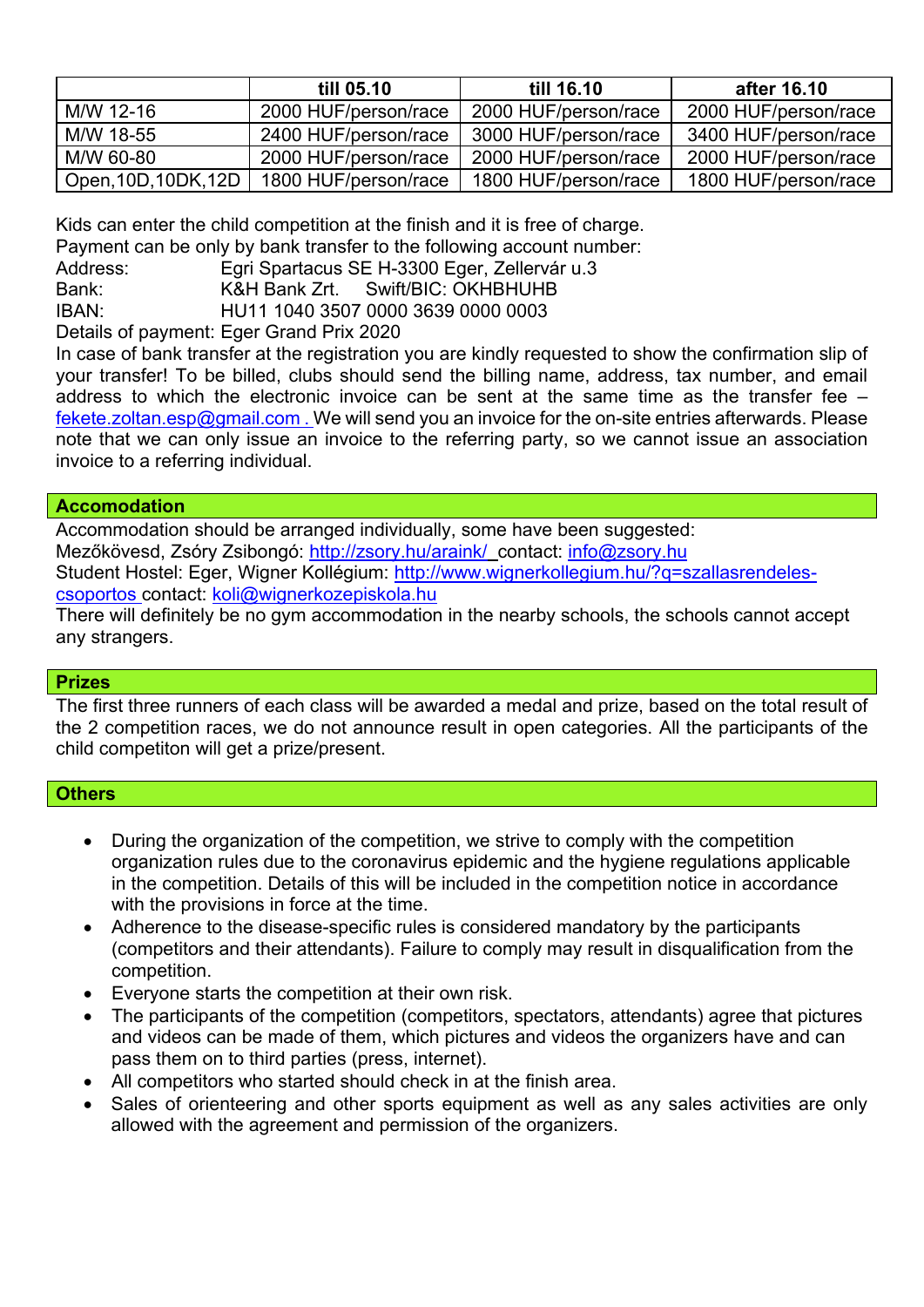|                   | till 05.10           | till 16.10           | after 16.10          |
|-------------------|----------------------|----------------------|----------------------|
| M/W 12-16         | 2000 HUF/person/race | 2000 HUF/person/race | 2000 HUF/person/race |
| M/W 18-55         | 2400 HUF/person/race | 3000 HUF/person/race | 3400 HUF/person/race |
| M/W 60-80         | 2000 HUF/person/race | 2000 HUF/person/race | 2000 HUF/person/race |
| Open,10D,10DK,12D | 1800 HUF/person/race | 1800 HUF/person/race | 1800 HUF/person/race |

Kids can enter the child competition at the finish and it is free of charge.

Payment can be only by bank transfer to the following account number:

Address: Egri Spartacus SE H-3300 Eger, Zellervár u.3

Bank: K&H Bank Zrt. Swift/BIC: OKHBHUHB

IBAN: HU11 1040 3507 0000 3639 0000 0003

Details of payment: Eger Grand Prix 2020

In case of bank transfer at the registration you are kindly requested to show the confirmation slip of your transfer! To be billed, clubs should send the billing name, address, tax number, and email address to which the electronic invoice can be sent at the same time as the transfer fee – [fekete.zoltan.esp@gmail.com](mailto:egrispartacus@atw.hu). We will send you an invoice for the on-site entries afterwards. Please note that we can only issue an invoice to the referring party, so we cannot issue an association invoice to a referring individual.

### **Accomodation**

Accommodation should be arranged individually, some have been suggested: Mezőkövesd, Zsóry Zsibongó: <http://zsory.hu/araink/>contact: [info@zsory.hu](mailto:info@zsory.hu) Student Hostel: Eger, Wigner Kollégium: [http://www.wignerkollegium.hu/?q=szallasrendeles](http://www.wignerkollegium.hu/?q=szallasrendeles-csoportos)[csoportos](http://www.wignerkollegium.hu/?q=szallasrendeles-csoportos) contact: [koli@wignerkozepiskola.hu](mailto:koli@wignerkozepiskola.hu)

There will definitely be no gym accommodation in the nearby schools, the schools cannot accept any strangers.

# **Prizes**

The first three runners of each class will be awarded a medal and prize, based on the total result of the 2 competition races, we do not announce result in open categories. All the participants of the child competiton will get a prize/present.

# **Others**

- During the organization of the competition, we strive to comply with the competition organization rules due to the coronavirus epidemic and the hygiene regulations applicable in the competition. Details of this will be included in the competition notice in accordance with the provisions in force at the time.
- Adherence to the disease-specific rules is considered mandatory by the participants (competitors and their attendants). Failure to comply may result in disqualification from the competition.
- Everyone starts the competition at their own risk.
- The participants of the competition (competitors, spectators, attendants) agree that pictures and videos can be made of them, which pictures and videos the organizers have and can pass them on to third parties (press, internet).
- All competitors who started should check in at the finish area.
- Sales of orienteering and other sports equipment as well as any sales activities are only allowed with the agreement and permission of the organizers.